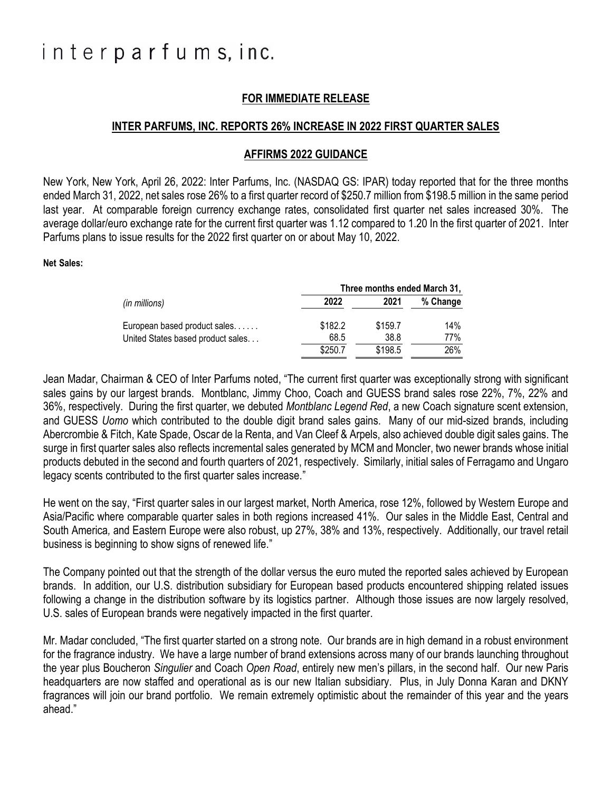# interparfums, inc.

# **FOR IMMEDIATE RELEASE**

### **INTER PARFUMS, INC. REPORTS 26% INCREASE IN 2022 FIRST QUARTER SALES**

#### **AFFIRMS 2022 GUIDANCE**

New York, New York, April 26, 2022: Inter Parfums, Inc. (NASDAQ GS: IPAR) today reported that for the three months ended March 31, 2022, net sales rose 26% to a first quarter record of \$250.7 million from \$198.5 million in the same period last year. At comparable foreign currency exchange rates, consolidated first quarter net sales increased 30%. The average dollar/euro exchange rate for the current first quarter was 1.12 compared to 1.20 In the first quarter of 2021. Inter Parfums plans to issue results for the 2022 first quarter on or about May 10, 2022.

#### **Net Sales:**

|                                   | Three months ended March 31, |         |          |
|-----------------------------------|------------------------------|---------|----------|
| (in millions)                     | 2022                         | 2021    | % Change |
| European based product sales      | \$182.2                      | \$159.7 | 14%      |
| United States based product sales | 68.5                         | 38.8    | 77%      |
|                                   | \$250.7                      | \$198.5 | 26%      |

Jean Madar, Chairman & CEO of Inter Parfums noted, "The current first quarter was exceptionally strong with significant sales gains by our largest brands. Montblanc, Jimmy Choo, Coach and GUESS brand sales rose 22%, 7%, 22% and 36%, respectively. During the first quarter, we debuted *Montblanc Legend Red*, a new Coach signature scent extension, and GUESS *Uomo* which contributed to the double digit brand sales gains.Many of our mid-sized brands, including Abercrombie & Fitch, Kate Spade, Oscar de la Renta, and Van Cleef & Arpels, also achieved double digit sales gains. The surge in first quarter sales also reflects incremental sales generated by MCM and Moncler, two newer brands whose initial products debuted in the second and fourth quarters of 2021, respectively. Similarly, initial sales of Ferragamo and Ungaro legacy scents contributed to the first quarter sales increase."

He went on the say, "First quarter sales in our largest market, North America, rose 12%, followed by Western Europe and Asia/Pacific where comparable quarter sales in both regions increased 41%. Our sales in the Middle East, Central and South America*,* and Eastern Europe were also robust, up 27%, 38% and 13%, respectively. Additionally, our travel retail business is beginning to show signs of renewed life."

The Company pointed out that the strength of the dollar versus the euro muted the reported sales achieved by European brands. In addition, our U.S. distribution subsidiary for European based products encountered shipping related issues following a change in the distribution software by its logistics partner. Although those issues are now largely resolved, U.S. sales of European brands were negatively impacted in the first quarter.

Mr. Madar concluded, "The first quarter started on a strong note. Our brands are in high demand in a robust environment for the fragrance industry. We have a large number of brand extensions across many of our brands launching throughout the year plus Boucheron *Singulier* and Coach *Open Road*, entirely new men's pillars, in the second half. Our new Paris headquarters are now staffed and operational as is our new Italian subsidiary. Plus, in July Donna Karan and DKNY fragrances will join our brand portfolio. We remain extremely optimistic about the remainder of this year and the years ahead."